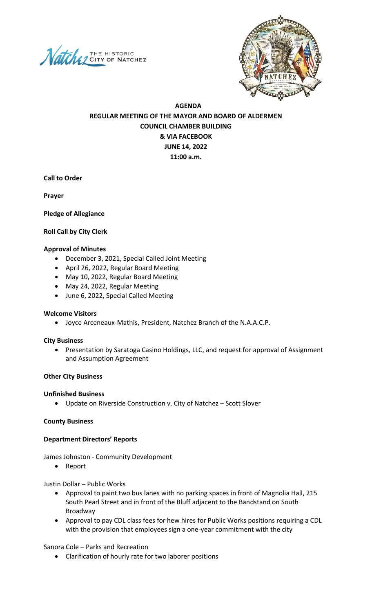



# **AGENDA REGULAR MEETING OF THE MAYOR AND BOARD OF ALDERMEN COUNCIL CHAMBER BUILDING & VIA FACEBOOK JUNE 14, 2022 11:00 a.m.**

**Call to Order**

**Prayer** 

**Pledge of Allegiance** 

### **Roll Call by City Clerk**

#### **Approval of Minutes**

- December 3, 2021, Special Called Joint Meeting
- April 26, 2022, Regular Board Meeting
- May 10, 2022, Regular Board Meeting
- May 24, 2022, Regular Meeting
- June 6, 2022, Special Called Meeting

### **Welcome Visitors**

• Joyce Arceneaux-Mathis, President, Natchez Branch of the N.A.A.C.P.

#### **City Business**

• Presentation by Saratoga Casino Holdings, LLC, and request for approval of Assignment and Assumption Agreement

### **Other City Business**

#### **Unfinished Business**

• Update on Riverside Construction v. City of Natchez – Scott Slover

### **County Business**

### **Department Directors' Reports**

James Johnston - Community Development

• Report

Justin Dollar – Public Works

- Approval to paint two bus lanes with no parking spaces in front of Magnolia Hall, 215 South Pearl Street and in front of the Bluff adjacent to the Bandstand on South Broadway
- Approval to pay CDL class fees for hew hires for Public Works positions requiring a CDL with the provision that employees sign a one-year commitment with the city

Sanora Cole – Parks and Recreation

• Clarification of hourly rate for two laborer positions